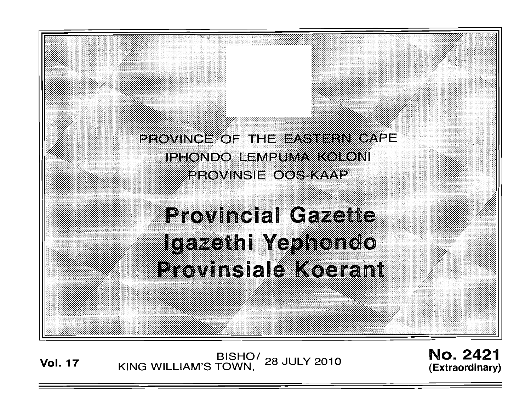PROVINCE OF THE EASTERN CAPE **IPHONDO LEMPUMA KOLONI** PROVINSIE OOS-KAAP

**Provincial Gazette** Igazethi Yephondo **Provinsiale Koerant** 

BISHO<sup>/</sup> 28 JULY 2010<br>KING WILLIAM'S TOWN, 28 JULY 2010

;:;:;: .

No. 2421 (Extraordinary)

:::':;::;:::;:: }:;:;;':'{;' : : ,:;:;( ::':;::;':;;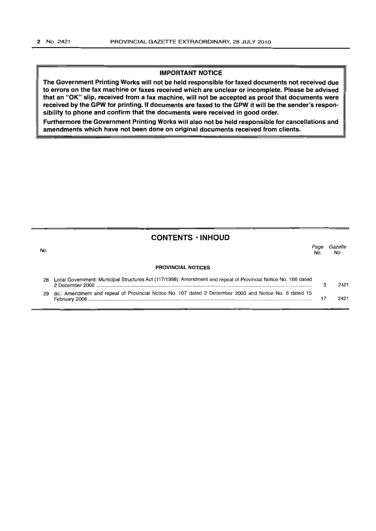#### **IMPORTANT NOTICE**

**The Government Printing Works will not be held responsible for faxed documents not received due to errors on the fax machine or faxes received which are unclear or incomplete. Please be advised that an** "OK" **slip, received from a fax machine, will not be accepted as proof that documents were received by the GPW for printing. If documents are faxed to the GPW it will be the sender's responsibility to phone and confirm that the documents were received in good order.** 

**Furthermore the Government Printing Works will also not be held responsible for cancellations and amendments which have not been done on original documents received from clients.** 

#### **CONTENTS • INHOUD**

المسابق المسابق المسابق المسابق المسابق المسابق المسابق المسابق المسابق المسابق المسابق المسابق المسابق المساب<br>المسابق المسابق المسابق المسابق المسابق المسابق المسابق المسابق المسابق المسابق المسابق المسابق المسابق المساب  $No. No.$ **PROVINCIAL NOTICES**  28 Local Government: Municipal Structures Act (117/1998): Amendment and repeal of Provincial Notice No. 106 dated 2 December 2000 .......................................................................................................................................................... 3 2421 29 do.: Amendment and repeal of Provincial Notice No. 107 dated 2 December 2000 and Notice No. 6 dated 15 February 2006................................................................................................................................................................ 17 2421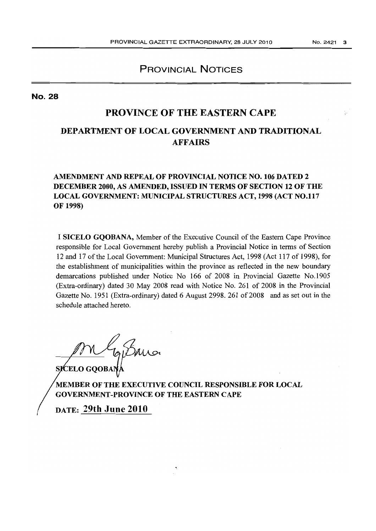# **PROVINCIAL NOTICES**

No. 28

# **PROVINCE OF THE EASTERN CAPE**

# **DEPARTMENT OF LOCAL GOVERNMENT AND TRADITIONAL AFFAIRS**

# **AMENDMENT AND REPEAL OF PROVINCIAL NOTICE NO. 106 DATED 2 DECEMBER 2000, AS AMENDED, ISSUED IN TERMS OF SECTION 12 OF THE LOCAL GOVERNMENT: MUNICIPAL STRUCTURES ACT, 1998 (ACT NO.117 OF 1998)**

I **SICELO GQOBANA,** Member of the Executive Council of the Eastern Cape Province responsible for Local Government hereby publish a Provincial Notice in terms of Section 12 and 17 of the Local Government: Municipal Structures Act, 1998 (Act 117 of 1998), for the establishment of municipalities within the province as reflected in the new boundary demarcations published under Notice No 166 of 2008 in Provincial Gazette No.1905 (Extra-ordinary) dated 30 May 2008 read with Notice No. 261 of 2008 in the Provincial Gazette No. 1951 (Extra-ordinary) dated 6 August 2998. 261 of 2008 and as set out in the schedule attached hereto.

**SICELO GOOBA** 

**MEMBER OF THE EXECUTIVE COUNCIL RESPONSIBLE FOR LOCAL GOVERNMENT-PROVINCE OF THE EASTERN CAPE** 

**DATE: 29th June 2010**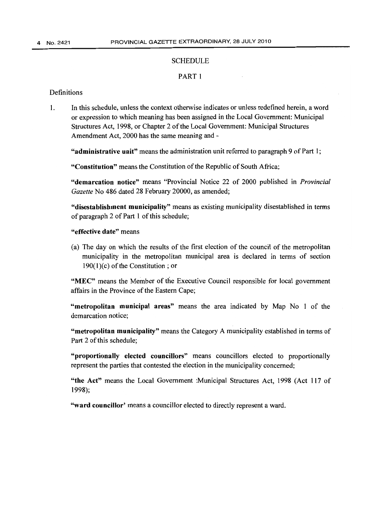#### **SCHEDULE**

#### PART 1

#### Definitions

1. In this schedule, unless the context otherwise indicates or unless redefined herein, a word or expression to which meaning has been assigned in the Local Government: Municipal Structures Act, 1998, or Chapter 2 of the Local Government: Municipal Structures Amendment Act, 2000 has the same meaning and -

"administrative unit" means the administration unit referred to paragraph 9 of Part 1;

"Constitution" means the Constitution of the Republic of South Africa;

"demarcation notice" means "Provincial Notice 22 of 2000 published in *Provincial Gazette* No 486 dated 28 February 20000, as amended;

"disestablishment municipality" means as existing municipality disestablished in terms of paragraph 2 of Part 1 of this schedule;

## "effective date" means

(a) The day on which the results of the first election of the council of the metropolitan municipality in the metropolitan municipal area is declared in terms of section  $190(1)(c)$  of the Constitution; or

"MEC" means the Member of the Executive Council responsible for local government affairs in the Province of the Eastern Cape;

"metropolitan municipal areas" means the area indicated by Map No 1 of the demarcation notice;

"metropolitan muuicipality" means the Category A municipality established in terms of Part 2 of this schedule;

"proportionally elected councillors" means councillors elected to proportionally represent the parties that contested the election in the municipality concerned;

"the Act" means the Local Government :Municipal Structures Act, 1998 (Act 117 of 1998);

"ward councillor' means a councillor elected to directly represent a ward.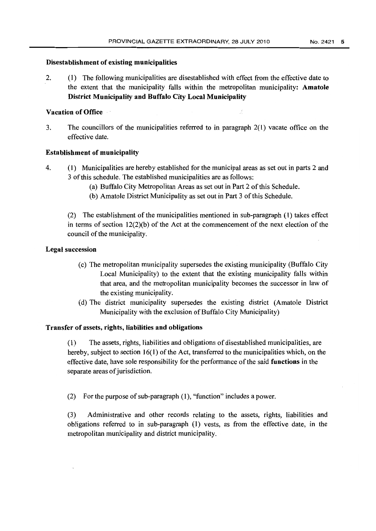#### Disestablishment of existing municipalities

2. (1) The following municipalities are disestablished with effect from the effective date to the extent that the municipality falls within the metropolitan municipality: Amatole District Municipality and Buffalo City Local Municipality

## Vacation of Office

3. The councillors of the municipalities referred to in paragraph 2(1) vacate office on the effective date.

## Establishment of municipality

- 4. (1) Municipalities are hereby established for the municipal areas as set out in parts 2 and 3 of this schedule. The established municipalities are as follows:
	- (a) Buffalo City Metropolitan Areas as set out in Part 2 ofthis Schedule.
	- (b) Amatole District Municipality as set out in Part 3 of this Schedule.

(2) The establishment of the municipalities mentioned in sub-paragraph (1) takes effect in terms of section  $12(2)(b)$  of the Act at the commencement of the next election of the council of the municipality.

## Legal succession

- (c) The metropolitan municipality supersedes the existing municipality (Buffalo City Local Municipality) to the extent that the existing municipality falls within that area, and the metropolitan municipality becomes the successor in law of the existing municipality.
- (d) The district municipality supersedes the existing district (Amatole District Municipality with the exclusion of Buffalo City Municipality)

## Transfer of assets, rights, liabilities and obligations

(1) The assets, rights, liabilities and obligations of disestablished municipalities, are hereby, subject to section 16(1) of the Act, transferred to the municipalities which, on the effective date, have sole responsibility for the performance of the said functions in the separate areas of jurisdiction.

(2) For the purpose of sub-paragraph (1), "function" includes a power.

(3) Administrative and other records relating to the assets, rights, liabilities and obligations referred to in sub-paragraph (1) vests, as from the effective date, in the metropolitan municipality and district municipality.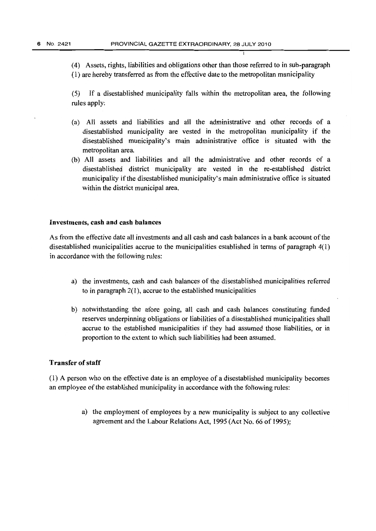(4) Assets, rights, liabilities and obligations other than those referred to in sub-paragraph (1) are hereby transferred as from the effective date to the metropolitan municipality

(5) If a disestablished municipality falls within the metropolitan area, the following rules apply:

- (a) All assets and liabilities and all the administrative and other records of a disestablished municipality are vested in the metropolitan municipality if the disestablished municipality's main administrative office is situated with the metropolitan area.
- (b) All assets and liabilities and all the administrative and other records of a disestablished district municipality are vested in the re-established district municipality if the disestablished municipality's main administrative office is situated within the district municipal area.

#### Investments, cash and cash balances

As from the effective date all investments and all cash and cash balances in a bank account of the disestablished municipalities accrue to the municipalities established in terms of paragraph 4(1) in accordance with the following rules:

- a) the investments, cash and cash balances of the disestablished municipalities referred to in paragraph 2(1), accrue to the established municipalities
- b) notwithstanding the afore going, all cash. and cash balances constituting funded reserves underpinning obligations or liabilities of a disestablished municipalities shall accrue to the established municipalities if they had assumed those liabilities, or in proportion to the extent to which such liabilities had been assumed.

#### Transfer of staff

(1) A person who on the effective date is an employee of a disestablished municipality becomes an employee of the established municipality in accordance with the following rules:

> a) the employment of employees by a new municipality is subject to any collective agreement and the Labour Relations Act, 1995 (Act No. 66 of 1995);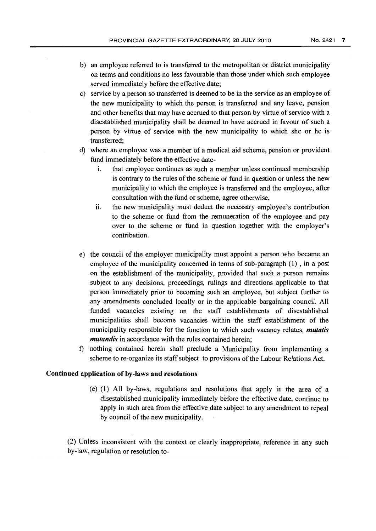- b) an employee referred to is transferred to the metropolitan or district municipality on tenns and conditions no less favourable than those under which such employee served immediately before the effective date;
- c) service by a person so transferred is deemed to be in the service as an employee of the new municipality to which the person is transferred and any leave, pension and other benefits that may have accrued to that person by virtue of service with a disestablished municipality shall be deemed to have accrued in favour of such a person by virtue of service with the new municipality to which she or he is transferred;
- d) where an employee was a member of a medical aid scheme, pension or provident fund immediately before the effective date
	- i. that employee continues as such a member unless continued membership is contrary to the rules of the scheme or fund in question or unless the new municipality to which the employee is transferred and the employee, after consultation with the fund or scheme, agree otherwise,
	- ii. the new municipality must deduct the necessary employee's contribution to the scheme or fund from the remuneration of the employee and pay over to the scheme or fund in question together with the employer's contribution.
- e) the council of the employer municipality must appoint a person who became an employee of the municipality concerned in tenns of sub-paragraph (1) , in a post on the establishment of the municipality, provided that such a person remains subject to any decisions, proceedings, rulings and directions applicable to that person immediately prior to becoming such an employee, but subject further to any amendments concluded locally or in the applicable bargaining council. All funded vacancies existing on the staff establishments of disestablished municipalities shall become vacancies within the staff establishment of the municipality responsible for the function to which such vacancy relates, *mutatis mutandis* in accordance with the rules contained herein;
- f) nothing contained herein shall preclude a Municipality from implementing a scheme to re-organize its staff subject to provisions of the Labour Relations Act.

#### Continued application of by-laws and resolutions

(e) (1) All by-laws, regulations and resolutions that apply in the area of a disestablished municipality immediately before the effective date, continue to apply in such area from the effective date subject to any amendment to repeal by council of the new municipality.

(2) Unless inconsistent with the context or clearly inappropriate, reference in any such by-law, regulation or resolution to-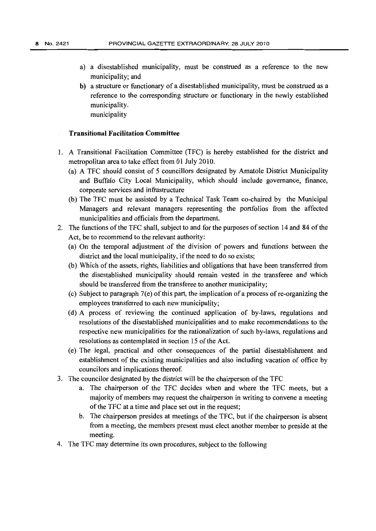- a) a disestablished municipality, must be construed as a reference to the new municipality; and
- **b)** a structure or functionary of a disestablished municipality, must be construed as a reference to the corresponding structure or functionary in the newly established municipality. municipality

#### **Transitional Facilitation Committee**

- 1. A Transitional Facilitation Committee (TFC) is hereby established for the district and metropolitan area to take effect from 01 July 2010.
	- (a) A TFC should consist of 5 councillors designated by Amatole District Municipality and Buffalo City Local Municipality, which should include governance, finance, corporate services and infrastructure
	- (b) The TFC must be assisted by a Technical Task Team co-chaired by the Municipal Managers and relevant managers representing the portfolios from the affected municipalities and officials from the department.
- 2. The functions of the TFC shall, subject to and for the purposes of section 14 and 84 of the Act, be to recommend to the relevant authority:
	- (a) On the temporal adjustment of the division of powers and functions between the district and the local municipality, if the need to do so exists;
	- (b) Which of the assets, rights, liabilities and obligations that have been transferred from the disestablished municipality should remain vested in the transferee and which should be transferred from the transferee to another municipality;
	- (c) Subject to paragraph  $7(e)$  of this part, the implication of a process of re-organizing the employees transferred to each new municipality;
	- (d) A process of reviewing the continued application of by-laws, regulations and resolutions of the disestablished municipalities and to make recommendations to the respective new municipalities for the rationalization of such by-laws, regulations and resolutions as contemplated in section 15 of the Act.
	- (e) The legal, practical and other consequences of the partial disestablishment and establishment of the existing municipalities and also including vacation of office by councilors and implications thereof.
- 3. The councilor designated by the district will be the chairperson of the TFC
	- a. The chairperson of the TFC decides when and where the TFC meets, but a majority of members may request the chairperson in writing to convene a meeting of the TFC at a time and place set out in the request;
	- b. The chairperson presides at meetings of the TFC, but if the chairperson is absent from a meeting, the members present must elect another member to preside at the meeting.
- 4. The TFC may determine its own procedures, subject to the following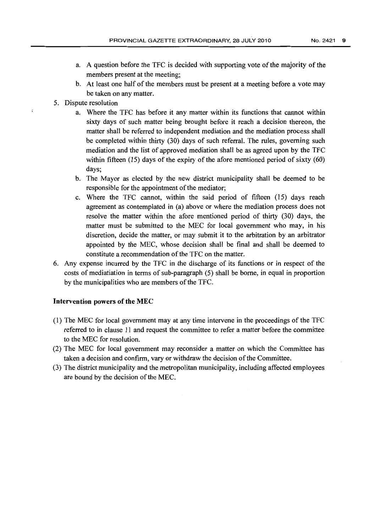- a. A question before the TFC is decided with supporting vote of the majority of the members present at the meeting;
- b. At least one half of the members must be present at a meeting before a vote may be taken on any matter.
- 5. Dispute resolution
	- a. Where the TFC has before it any matter within its functions that cannot within sixty days of such matter being brought before it reach a decision thereon, the matter shall be referred to independent mediation and the mediation process shall be completed within thirty (30) days of such referral. The rules, governing such mediation and the list of approved mediation shall be as agreed upon by the TFC within fifteen (15) days of the expiry of the afore mentioned period of sixty (60) days;
	- b. The Mayor as elected by the new district municipality shall be deemed to be responsible for the appointment of the mediator;
	- c. Where the TFC cannot, within the said period of fifteen (15) days reach agreement as contemplated in (a) above or where the mediation process does not resolve the matter within the afore mentioned period of thirty (30) days, the matter must be submitted to the MEC for local government who may, in his discretion, decide the matter, or may submit it to the arbitration by an arbitrator appointed by the MEC, whose decision shall be final and shall be deemed to constitute a recommendation of the TFC on the matter.
- 6. Any expense incurred by the TFC in the discharge of its functions or in respect of the costs of mediatiation in terms of sub-paragraph (5) shall be borne, in equal in proportion by the municipalities who are members of the TFC.

#### Intervention powers of the MEC

- (1) The MEC for local government may at any time intervene in the proceedings of the TFC referred to in clause 11 and request the committee to refer a matter before the committee to the MEC for resolution.
- (2) The MEC for local government may reconsider a matter on which the Committee has taken a decision and confirm, vary or withdraw the decision of the Committee.
- (3) The district municipality and the metropolitan municipality, including affected employees are bound by the decision of the MEC.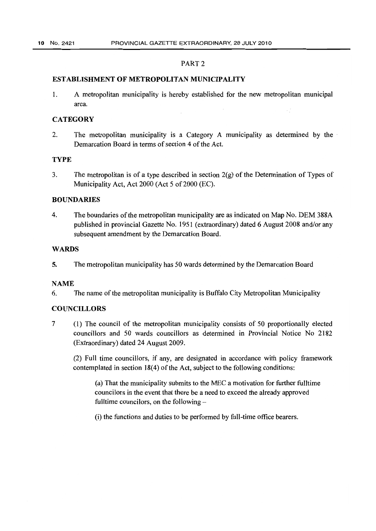#### PART 2

#### **ESTABLISHMENT OF METROPOLITAN MUNICIPALITY**

1. A metropolitan municipality is hereby established for the new metropolitan municipal area.

#### **CATEGORY**

2. The metropolitan municipality is a Category A municipality as determined by the . Demarcation Board in terms of section 4 of the Act.

#### **TYPE**

3. The metropolitan is of a type described in section 2(g) of the Determination of Types of Municipality Act, Act 2000 (Act 5 of 2000 (EC).

#### **BOUNDARIES**

4. The boundaries of the metropolitan municipality are as indicated on Map No. DEM 388A published in provincial Gazette No. 1951 (extraordinary) dated 6 August 2008 and/or any subsequent amendment by the Demarcation Board.

#### **WARDS**

5. The metropolitan municipality has 50 wards determined by the Demarcation Board

#### NAME

6. The name of the metropolitan municipality is Buffalo City Metropolitan Municipality

#### **COUNCILLORS**

7 (1) The council of the metropolitan municipality consists of 50 proportionally elected councillors and 50 wards councillors as determined in Provincial Notice No 2182 (Extraordinary) dated 24 August 2009.

(2) Full time councillors, if any, are designated in accordance with policy framework contemplated in section 18(4) of the Act, subject to the following conditions:

(a) That the municipality submits to the MEC a motivation for further fulltime councilors in the event that there be a need to exceed the already approved fulltime councilors, on the following -

(i) the functions and duties to be performed by full-time office bearers.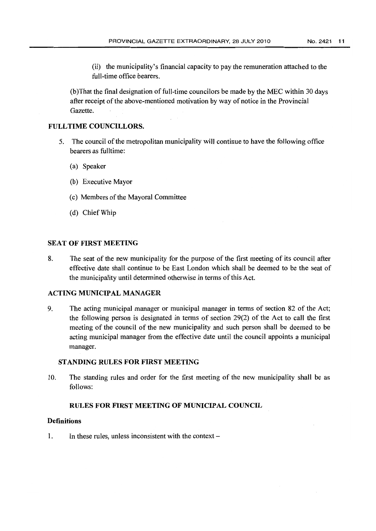(ii) the municipality's financial capacity to pay the remuneration attached to the full-time office bearers.

(b) That the final designation of full-time councilors be made by the MEC within 30 days after receipt of the above-mentioned motivation by way of notice in the Provincial Gazette.

#### FULL TIME COUNCILLORS.

- 5. The council of the metropolitan municipality will continue to have the following office bearers as fulltime:
	- (a) Speaker
	- (b) Executive Mayor
	- (c) Members of the Mayoral Committee
	- (d) Chief Whip

#### SEAT OF FIRST MEETING

8. The seat of the new municipality for the purpose of the first meeting of its council after effective date shall continue to be East London which shall be deemed to be the seat of the municipality until determined otherwise in terms of this Act.

#### ACTING MUNICIPAL MANAGER

9. The acting municipal manager or municipal manager in terms of section 82 of the Act; the following person is designated in terms of section 29(2) of the Act to call the first meeting of the council of the new municipality and such person shall be deemed to be acting municipal manager from the effective date until the council appoints a municipal manager.

#### STANDING RULES FOR FIRST MEETING

10. The standing rules and order for the first meeting of the new municipality shall be as follows:

#### RULES FOR FIRST MEETING OF MUNICIPAL COUNCIL

#### **Definitions**

1. In these rules, unless inconsistent with the context –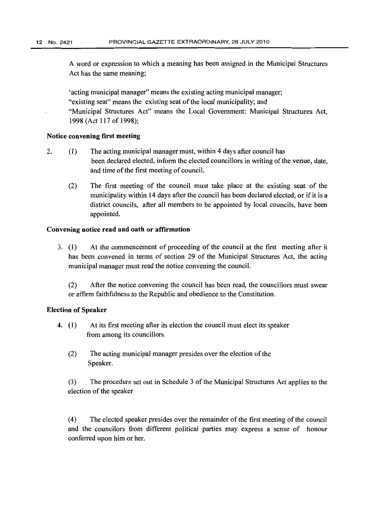A word or expression to which a meaning has been assigned in the Municipal Structures Act has the same meaning;

'acting municipal manager" means the existing acting municipal manager; "existing seat" means the existing seat of the local municipality; and "Municipal Structures Act" means the Local Government: Municipal Structures Act, 1998 (Act 117 of 1998);

#### Notice convening first meeting

- 2. (1) The acting municipal manager must, within 4 days after council has been declared elected, inform the elected councillors in writing of the venue, date, and time of the first meeting of council.
	- (2) The first meeting of the council must take place at the existing seat of the municipality within 14 days after the council has been declared elected, or if it is a district councils, after all members to be appointed by local councils, have been appointed.

#### Convening notice read and oath or affirmation

3. (l) At the commencement of proceeding of the council at the first meeting after it has been convened in terms of section 29 of the Municipal Structures Act, the acting municipal manager must read the notice convening the council.

(2) After the notice convening the council has been read, the councillors must swear or affirm faithfulness to the Republic and obedience to the Constitution.

#### Election of Speaker

- 4. (1) At its first meeting after its election the council must elect its speaker from among its councillors.
	- (2) The acting municipal manager presides over the election of the Speaker.

(3) The procedure set out in Schedule 3 of the Municipal Structures Act applies to the election of the speaker

(4) The elected speaker presides over the remainder of the first meeting of the council and the councilors from different political parties may express a sense of honour conferred upon him or her.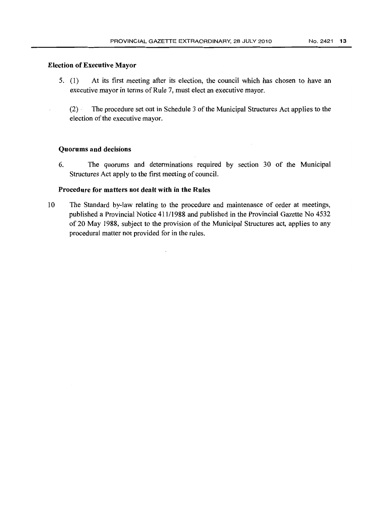5. (1) At its first meeting after its election, the council which has chosen to have an executive mayor in terms of Rule 7, must elect an executive mayor.

(2) . The procedure set out in Schedule 3 of the Municipal Structures Act applies to the election of the executive mayor.

#### Quorums and decisions

Election of Executive Mayor

6. The quorums and determinations required by section 30 of the Municipal Structures Act apply to the first meeting of council.

#### Procedure for matters not dealt with in the Rules

10 The Standard by-law relating to the procedure and maintenance of order at meetings, published a Provincial Notice 41111988 and published in the Provincial Gazette No 4532 of 20 May 1988, subject to the provision of the Municipal Structures act, applies to any procedural matter not provided for in the rules.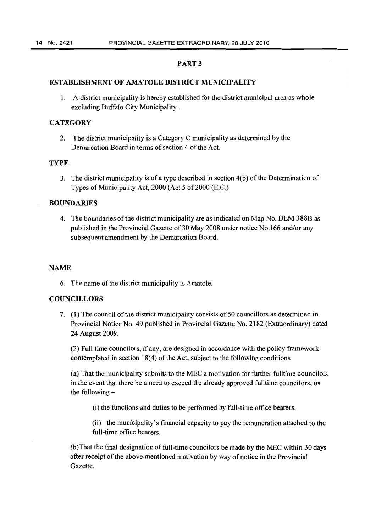#### PART 3

#### ESTABLISHMENT **OF** AMATOLE DISTRICT MUNICIPALITY

1. A district municipality is hereby established for the district municipal area as whole excluding Buffalo City Municipality .

#### **CATEGORY**

2. The district municipality is a Category C municipality as determined by the Demarcation Board in terms of section 4 of the Act.

#### TYPE

3. The district municipality is of a type described in section 4(b) of the Determination of Types of Municipality Act,  $2000$  (Act 5 of  $2000$  (E,C.)

#### BOUNDARIES

4. The boundaries of the district municipality are as indicated on Map No. DEM 388B as published in the Provincial Gazette of 30 May 2008 under notice No.166 and/or any subsequent amendment by the Demarcation Board.

#### NAME

6. The name of the district municipality is Amatole.

#### COUNCILLORS

7. (1) The council of the district municipality consists of 50 councillors as determined in Provincial Notice No. 49 published in Provincial Gazette No. 2182 (Extraordinary) dated 24 August 2009.

(2) Full time councilors, if any, are designed in accordance with the policy framework contemplated in section 18(4) of the Act, subject to the following conditions

(a) That the municipality submits to the MEC a motivation for further fulltime councilors in the event that there be a need to exceed the already approved fulltime councilors, on the following  $-$ 

(i) the functions and duties to be performed by full-time office bearers.

(ii) the municipality's financial capacity to pay the remuneration attached to the full-time office bearers.

(b )That the final designation of full-time councilors be made by the MEC within 30 days after receipt of the above-mentioned motivation by way of notice in the Provincial Gazette.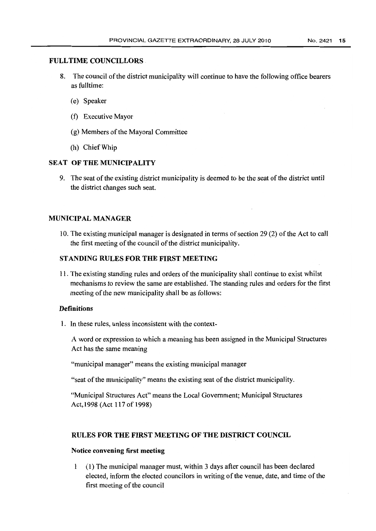#### FULL TIME COUNCILLORS

- 8. The council of the district municipality will continue to have the following office bearers as fulltime:
	- (e) Speaker
	- (f) Executive Mayor
	- (g) Members of the Mayoral Committee
	- (h) Chief Whip

# SEAT OF THE MUNICIPALITY

9. The seat of the existing district municipality is deemed to be the seat of the district until the district changes such seat.

## MUNICIPAL MANAGER

10. The existing municipal manager is designated in terms of section 29 (2) of the Act to call the first meeting of the council of the district municipality.

## STANDING RULES FOR THE FIRST MEETING

11. The existing standing rules and orders of the municipality shall continue to exist whilst mechanisms to review the same are established. The standing rules and orders for the first meeting of the new municipality shall be as follows:

#### **Definitions**

1. In these rules, unless inconsistent with the context-

A word or expression to which a meaning has been assigned in the Municipal Structures Act has the same meaning

"municipal manager" means the existing municipal manager

"seat of the municipality" means the existing seat of the district municipality.

"Municipal Structures Act" means the Local Government; Municipal Structures Act, 1998 (Act 117 of 1998)

## RULES FOR THE FIRST MEETING OF THE DISTRICT COUNCIL

#### Notice convening first meeting

1 (1) The municipal manager must, within 3 days after council has been declared elected, inform the elected councilors in writing of the venue, date, and time of the first meeting of the council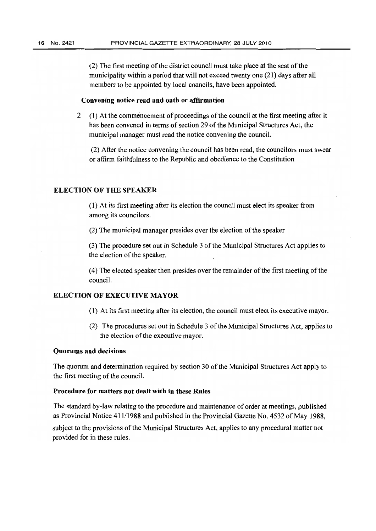(2) The first meeting of the district council must take place at the seat of the municipality within a period that will not exceed twenty one (21) days after all members to be appointed by local councils, have been appointed.

#### Convening notice read and oath or affirmation

2 (1) At the commencement of proceedings of the council at the first meeting after it has been convened in terms of section 29 of the Municipal Structures Act, the municipal manager must read the notice convening the council.

(2) After the notice convening the council has been read, the councilors must swear or affirm faithfulness to the Republic and obedience to the Constitution

#### ELECTION OF THE SPEAKER

(1) At its first meeting after its election the council must elect its speaker from among its councilors.

(2) The municipal manager presides over the election of the speaker

(3) The procedure set out in Schedule 3 ofthe Municipal Structures Act applies to the election of the speaker.

(4) The elected speaker then presides over the remainder of the first meeting ofthe council.

#### ELECTION OF EXECUTIVE MAYOR

- (1) At its first meeting after its election, the council must elect its executive mayor.
- (2) The procedures set out in Schedule 3 of the Municipal Structures Act, applies to the election of the executive mayor.

#### Quorums and decisions

The quorum and determination required by section 30 of the Municipal Structures Act apply to the first meeting of the council.

#### Procedure for matters not dealt with in these Rules

The standard by-law relating to the procedure and maintenance of order at meetings, published as Provincial Notice 41111988 and published in the Provincial Gazette No. 4532 of May 1988, subject to the provisions of the Municipal Structures Act, applies to any procedural matter not provided for in these rules.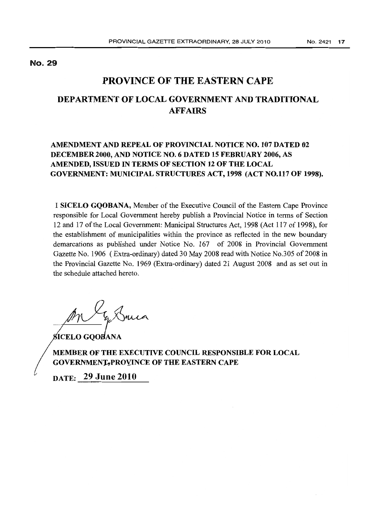No. 29

# **PROVINCE OF THE EASTERN CAPE**

# **DEPARTMENT OF LOCAL GOVERNMENT AND TRADITIONAL AFFAIRS**

# **AMENDMENT AND REPEAL OF PROVINCIAL NOTICE NO. 107 DATED 02 DECEMBER 2000, AND NOTICE NO.6 DATED 15 FEBRUARY 2006, AS AMENDED, ISSUED IN TERMS OF SECTION 12 OF THE LOCAL GOVERNMENT: MUNICIPAL STRUCTURES ACT, 1998 (ACT NO.H7 OF 1998).**

I **SICELO GQOBANA,** Member of the Executive Council of the Eastern Cape Province responsible for Local Government hereby publish a Provincial Notice in terms of Section 12 and 17 of the Local Government: Municipal Structures Act, 1998 (Act 117 of 1998), for the establishment of municipalities within the province as reflected in the new boundary demarcations as published under Notice No. 167 of 2008 in Provincial Government Gazette No. 1906 (Extra-ordinary) dated 30 May 2008 read with Notice No. 305 of 2008 in the Provincial Gazette No. 1969 (Extra-ordinary) dated 21 August 2008 and as set out in the schedule attached hereto.

In Suica

**SICELO GOOBANA** 

**MEMBER OF THE EXECUTIVE COUNCIL RESPONSIBLE FOR LOCAL GOVERNMENT, PROYINCE OF THE EASTERN CAPE** 

**DATE: 29 June 2010**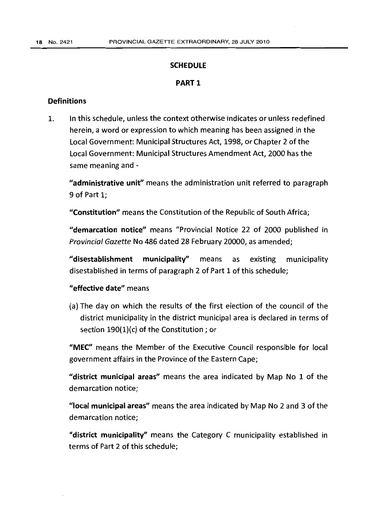#### **SCHEDULE**

## PART 1

## **Definitions**

1. In this schedule, unless the context otherwise indicates or unless redefined herein, a word or expression to which meaning has been assigned in the Local Government: Municipal Structures Act, 1998, or Chapter 2 of the Local Government: Municipal Structures Amendment Act, 2000 has the same meaning and -

"administrative unit" means the administration unit referred to paragraph 9 of Part 1;

"Constitution" means the Constitution of the Republic of South Africa;

"demarcation notice" means "Provincial Notice 22 of 2000 published in Provincial Gazette No 486 dated 28 February 20000, as amended;

"disestablishment municipality" means as existing municipality disestablished in terms of paragraph 2 of Part 1 of this schedule;

# "effective date" means

(a) The day on which the results of the first election of the council of the district municipality in the district municipal area is declared in terms of section 190(1)(c) of the Constitution; or

"MEC" means the Member of the Executive Council responsible for local government affairs in the Province of the Eastern Cape;

"district municipal areas" means the area indicated by Map No 1 of the demarcation notice;

"local municipal areas" means the area indicated by Map No 2 and 3 of the demarcation notice;

"district municipality" means the Category C municipality established in terms of Part 2 of this schedule;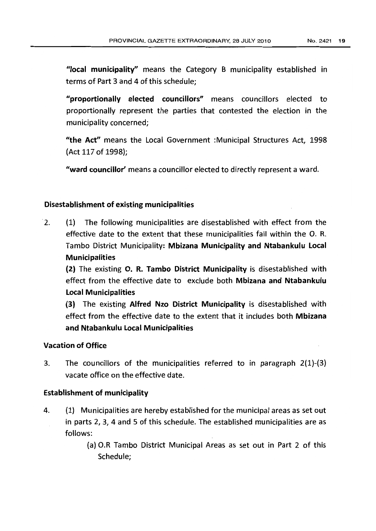"local municipality" means the Category B municipality established in terms of Part 3 and 4 of this schedule;

"proportionally elected councillors" means councillors elected to proportionally represent the parties that contested the election in the municipality concerned;

"the Act" means the Local Government :Municipal Structures Act, 1998 (Act 117 of 1998);

"ward councillor' means a councillor elected to directly represent a ward.

## Disestablishment of existing municipalities

2. (1) The following municipalities are disestablished with effect from the effective date to the extent that these municipalities fall within the O. R. Tambo District Municipality: Mbizana Municipality and Ntabankulu Local Municipalities

(2) The existing O. R. Tambo District Municipality is disestablished with effect from the effective date to exclude both Mbizana and Ntabankulu Local Municipalities

(3) The existing Alfred Nzo District Municipality is disestablished with effect from the effective date to the extent that it includes both Mbizana and Ntabankulu Local Municipalities

## Vacation of Office

3. The councillors of the municipalities referred to in paragraph 2(1)-(3) vacate office on the effective date.

## Establishment of municipality

- 4. (1) Municipalities are hereby established for the municipal areas as set out in parts 2, 3, 4 and 5 of this schedule. The established municipalities are as follows:
	- (a) O.R Tambo District Municipal Areas as set out in Part 2 of this Schedule;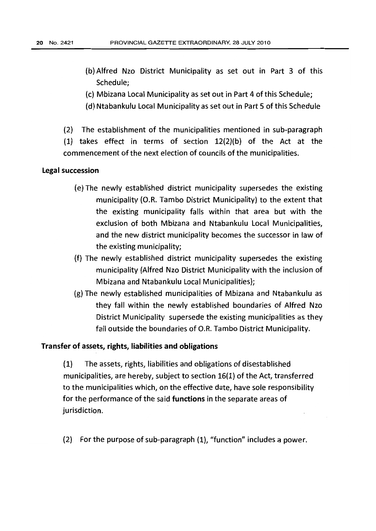- (b) Alfred Nzo District Municipality as set out in Part 3 of this Schedule;
- (c) Mbizana Local Municipality as set out in Part 4 of this Schedule;
- (d) Ntabankulu Local Municipality as set out in Part 5 of this Schedule
- (2) The establishment of the municipalities mentioned in sub-paragraph

(1) takes effect in terms of section 12(2){b) of the Act at the commencement of the next election of councils of the municipalities.

## **Legal succession**

- (e) The newly established district municipality supersedes the existing municipality (O.R. Tambo District Municipality) to the extent that the existing municipality falls within that area but with the exclusion of both Mbizana and Ntabankulu Local Municipalities, and the new district municipality becomes the successor in law of the existing municipality;
- (f) The newly established district municipality supersedes the existing municipality (Alfred Nzo District Municipality with the inclusion of Mbizana and Ntabankulu local Municipalities);
- (g) The newly established municipalities of Mbizana and Ntabankulu as they fall within the newly established boundaries of Alfred Nzo District Municipality supersede the existing municipalities as they fall outside the boundaries of O.R. Tambo District Municipality.

#### Transfer of assets, rights, liabilities and obligations

(1) The assets, rights, liabilities and obligations of disestablished municipalities, are hereby, subject to section 16(1} of the Act, transferred to the municipalities which, on the effective date, have sole responsibility for the performance of the said functions in the separate areas of jurisdiction.

(2) For the purpose of sub-paragraph  $(1)$ , "function" includes a power.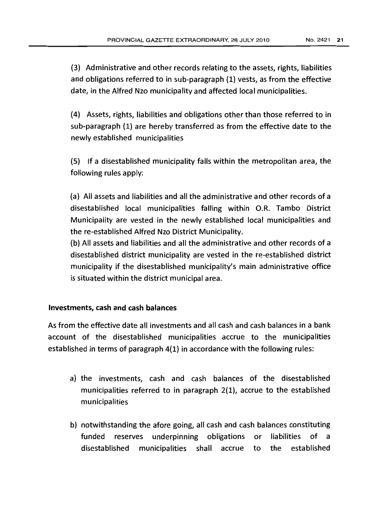(3) Administrative and other records relating to the assets, rights, liabilities and obligations referred to in sub-paragraph (1) vests, as from the effective date, in the Alfred Nzo municipality and affected local municipalities.

(4) Assets, rights, liabilities and obligations other than those referred to in sub-paragraph (1) are hereby transferred as from the effective date to the newly established municipalities

(5) If a disestablished municipality falls within the metropolitan area, the following rules apply:

(a) All assets and liabilities and all the administrative and other records of a disestablished local municipalities falling within O.R. Tambo District Municipality are vested in the newly established local municipalities and the re-established Alfred Nzo District Municipality.

(b) All assets and liabilities and all the administrative and other records of a disestablished district municipality are vested in the re-established district municipality if the disestablished municipality's main administrative office is situated within the district municipal area.

## Investments, cash and cash balances

As from the effective date all investments and all cash and cash balances in a bank account of the disestablished municipalities accrue to the municipalities established in terms of paragraph 4(1) in accordance with the following rules:

- a) the investments, cash and cash balances of the disestablished municipalities referred to in paragraph 2(1), accrue to the established municipalities
- b) notwithstanding the afore going, all cash and cash balances constituting funded reserves underpinning obligations or liabilities of a disestablished municipalities shall accrue to the established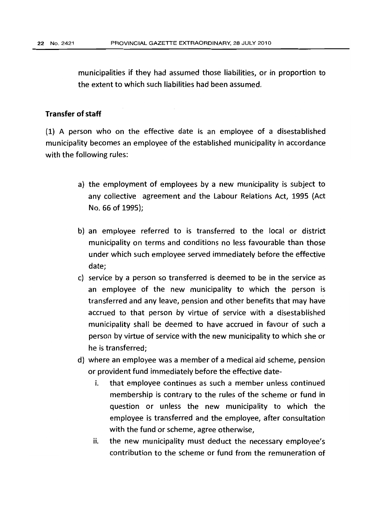municipalities if they had assumed those liabilities, or in proportion to the extent to which such liabilities had been assumed.

## **Transfer of staff**

(1) A person who on the effective date is an employee of a disestablished municipality becomes an employee of the established municipality in accordance with the following rules:

- a) the employment of employees by a new municipality is subject to any collective agreement and the Labour Relations Act, 1995 (Act No. 66 of 1995);
- b) an employee referred to is transferred to the local or district municipality on terms and conditions no less favourable than those under which such employee served immediately before the effective date;
- c} service by a person so transferred is deemed to be in the service as an employee of the new municipality to which the person is transferred and any leave, pension and other benefits that may have accrued to that person by virtue of service with a disestablished municipality shall be deemed to have accrued in favour of such a person by virtue of service with the new municipality to which she or he is transferred;
- d) where an employee was a member of a medical aid scheme, pension or provident fund immediately before the effective date
	- i. that employee continues as such a member unless continued membership is contrary to the rules of the scheme or fund in question or unless the new municipality to which the employee is transferred and the employee, after consultation with the fund or scheme, agree otherwise,
	- ii. the new municipality must deduct the necessary employee's contribution to the scheme or fund from the remuneration of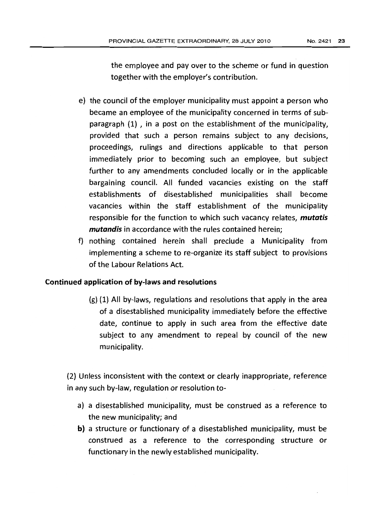the employee and pay over to the scheme or fund in question together with the employer's contribution.

- e) the council of the employer municipality must appoint a person who became an employee of the municipality concerned in terms of subparagraph  $(1)$ , in a post on the establishment of the municipality, provided that such a person remains subject to any decisions, proceedings, rulings and directions applicable to that person immediately prior to becoming such an employee, but subject further to any amendments concluded locally or in the applicable bargaining council. All funded vacancies existing on the staff establishments of disestablished municipalities shall become vacancies within the staff establishment of the municipality responsible for the function to which such vacancy relates, *mutatis mutandis* in accordance with the rules contained herein;
- f) nothing contained herein shall preclude a Municipality from implementing a scheme to re-organize its staff subject to provisions of the Labour Relations Act.

## Continued application of by-laws and resolutions

(g) (1) All by-laws, regulations and resolutions that apply in the area of a disestablished municipality immediately before the effective date, continue to apply in such area from the effective date subject to any amendment to repeal by council of the new municipality.

(2) Unless inconsistent with the context or clearly inappropriate, reference in any such by-law, regulation or resolution to-

- a) a disestablished municipality, must be construed as a reference to the new municipality; and
- b) a structure or functionary of a disestablished municipality, must be construed as a reference to the corresponding structure or functionary in the newly established municipality.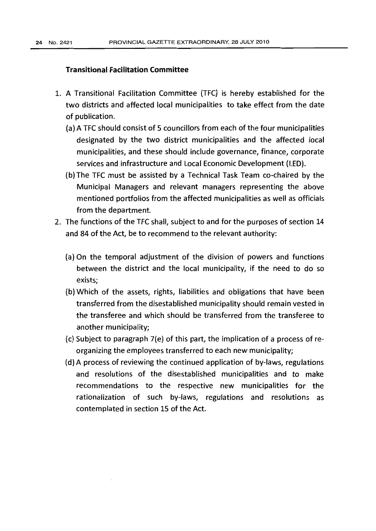#### **Transitional Facilitation Committee**

- 1. A Transitional Facilitation Committee (TFC) is hereby established for the two districts and affected local municipalities to take effect from the date of publication.
	- (a) A TFC should consist of 5 councillors from each of the four municipalities designated by the two district municipalities and the affected local municipalities, and these should include governance, finance, corporate services and infrastructure and Local Economic Development (LED).
	- (b) The TFC must be assisted by a Technical Task Team co-chaired by the Municipal Managers and relevant managers representing the above mentioned portfolios from the affected municipalities as well as officials from the department.
- 2. The functions of the TFC shall, subject to and for the purposes of section 14 and 84 of the Act, be to recommend to the relevant authority:
	- (a) On the temporal adjustment of the division of powers and functions between the district and the local municipality, if the need to do so exists;
	- (b) Which of the assets, rights, liabilities and obligations that have been transferred from the disestablished municipality should remain vested in the transferee and which should be transferred from the transferee to another municipality;
	- (c) Subject to paragraph 7(e) of this part, the implication of a process of reorganizing the employees transferred to each new municipality;
	- (d) A process of reviewing the continued application of by-laws, regulations and resolutions of the disestablished municipalities and to make recommendations to the respective new municipalities for the rationalization of such by-laws, regulations and resolutions as contemplated in section 15 of the Act.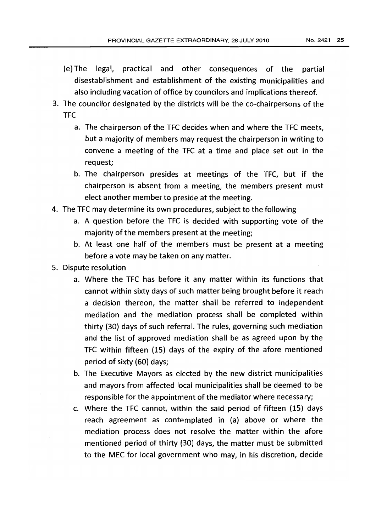- (e) The legal, practical and other consequences of the partial disestablishment and establishment of the existing municipalities and also including vacation of office by councilors and implications thereof.
- 3. The councilor designated by the districts will be the co-chairpersons of the TFC
	- a. The chairperson of the TFC decides when and where the TFC meets, but a majority of members may request the chairperson in writing to convene a meeting of the TFC at a time and place set out in the request;
	- b. The chairperson presides at meetings of the TFC, but if the chairperson is absent from a meeting, the members present must elect another member to preside at the meeting.
- 4. The TFC may determine its own procedures, subject to the following
	- a. A question before the TFC is decided with supporting vote of the majority of the members present at the meeting;
	- b. At least one half of the members must be present at a meeting before a vote may be taken on any matter.
- S. Dispute resolution
	- a. Where the TFC has before it any matter within its functions that cannot within sixty days of such matter being brought before it reach a decision thereon, the matter shall be referred to independent mediation and the mediation process shall be completed within thirty (30) days of such referral. The rules, governing such mediation and the list of approved mediation shall be as agreed upon by the TFC within fifteen (15) days of the expiry of the afore mentioned period of sixty (60) days;
	- b. The Executive Mayors as elected by the new district municipalities and mayors from affected local municipalities shall be deemed to be responsible for the appointment of the mediator where necessary;
	- c. Where the TFC cannot, within the said period of fifteen (15) days reach agreement as contemplated in (a) above or where the mediation process does not resolve the matter within the afore mentioned period of thirty (30) days, the matter must be submitted to the MEC for local government who may, in his discretion, decide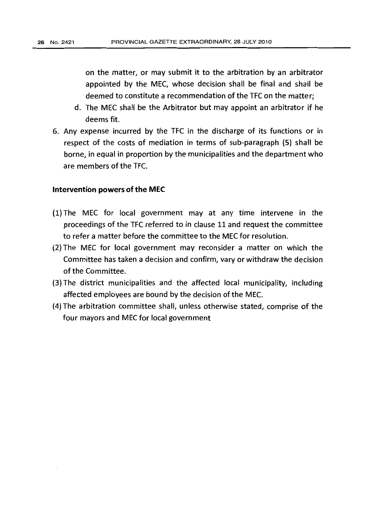on the matter, or may submit it to the arbitration by an arbitrator appointed by the MEC, whose decision shall be final and shall be deemed to constitute a recommendation of the TFC on the matter;

- d. The MEC shall be the Arbitrator but may appoint an arbitrator if he deems fit.
- 6. Any expense incurred by the TFC in the discharge of its functions or in respect of the costs of mediation in terms of sub-paragraph (5) shall be borne, in equal in proportion by the municipalities and the department who are members of the TFC.

#### Intervention powers of the **MEC**

- $(1)$  The MEC for local government may at any time intervene in the proceedings of the TFC referred to in clause 11 and request the committee to refer a matter before the committee to the MEC for resolution.
- (2) The MEC for local government may reconsider a matter on which the Committee has taken a decision and confirm, vary or withdraw the decision of the Committee.
- (3) The district municipalities and the affected local municipality, including affected employees are bound by the decision of the MEC.
- (4) The a rbitration committee shall, unless otherwise stated, comprise of the four mayors and MEC for local government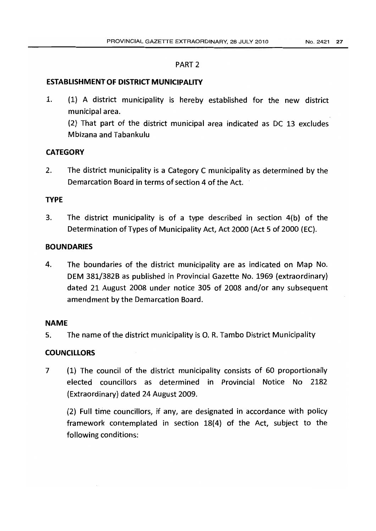#### PART 2

#### **ESTABLISHMENT OF DISTRICT MUNICIPALITY**

1. (1) A district municipality is hereby established for the new district municipal area.

(2) That part of the district municipal area indicated as DC 13 excludes Mbizana and Tabankulu

# **CATEGORY**

2. The district municipality is a Category C municipality as determined by the Demarcation Board in terms of section 4 of the Act.

## **TYPE**

3. The district municipality is of a type described in section 4(b} of the Determination of Types of Municipality Act, Act 2000 (Act 5 of 2000 (EC).

# **BOUNDARIES**

4. The boundaries of the district municipality are as indicated on Map No. DEM 381/382B as published in Provincial Gazette No. 1969 (extraordinary) dated 21 August 2008 under notice 305 of 2008 and/or any subsequent amendment by the Demarcation Board.

## **NAME**

5. The name of the district municipality is O. R. Tambo District Municipality

## **COUNCILLORS**

7 (1) The council of the district municipality consists of 60 proportionally elected councillors as determined in Provincial Notice No 2182 (Extraordinary) dated 24 August 2009.

(2) Full time councillors, if any, are designated in accordance with policy framework contemplated in section 18(4) of the Act, subject to the following conditions: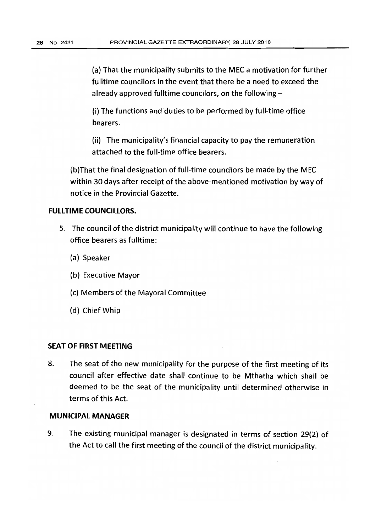(a) That the municipality submits to the MEC a motivation for further fulltime councilors in the event that there be a need to exceed the already approved fulltime councilors, on the following  $-$ 

(i) The functions and duties to be performed by full-time office bearers.

(ii) The municipality's financial capacity to pay the remuneration attached to the full-time office bearers.

(b)That the final designation of full-time councilors be made by the MEC within 30 days after receipt of the above-mentioned motivation by way of notice in the Provincial Gazette.

# **FULLTIME COUNCILLORS.**

- 5. The council of the district municipality will continue to have the following office bearers as fulltime:
	- (a) Speaker
	- (b) Executive Mayor
	- (c) Members of the Mayoral Committee
	- (d) Chief Whip

#### **SEAT OF FIRST MEETING**

8. The seat of the new municipality for the purpose of the first meeting of its council after effective date shall continue to be Mthatha which shall be deemed to be the seat of the municipality until determined otherwise in terms of this Act.

# **MUNICIPAL MANAGER**

9. The existing municipal manager is designated in terms of section 29(2) of the Act to call the first meeting of the council of the district municipality.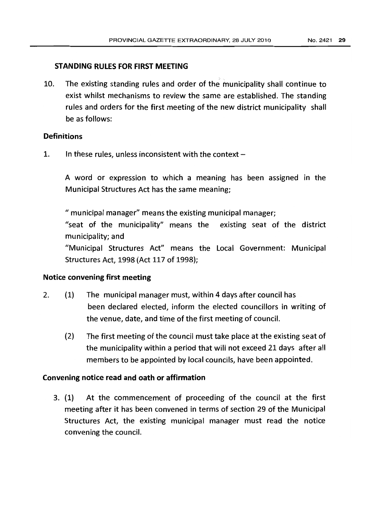# **STANDING RULES FOR FIRST MEETING**

10. The existing standing rules and order of the municipality shall continue to exist whilst mechanisms to review the same are established. The standing rules and orders for the first meeting of the new district municipality shall be as follows:

# **Definitions**

1. In these rules, unless inconsistent with the context  $-$ 

A word or expression to which a meaning has been assigned in the Municipal Structures Act has the same meaning;

" municipal manager" means the existing municipal manager;

/{seat of the municipality" means the existing seat of the district municipality; and

"Municipal Structures Act" means the local Government: Municipal Structures Act, 1998 (Act 117 of 1998);

## **Notice convening first meeting**

- 2. (1) The municipal manager must, within 4 days after council has been declared elected, inform the elected councillors in writing of the venue, date, and time of the first meeting of council.
	- (2) The first meeting of the council must take place at the existing seat of the municipality within a period that will not exceed 21 days after all members to be appointed by local councils, have been appointed.

## **Convening notice read and oath or affirmation**

3. (1) At the commencement of proceeding of the council at the first meeting after it has been convened in terms of section 29 of the Municipal Structures Act, the existing municipal manager must read the notice convening the council.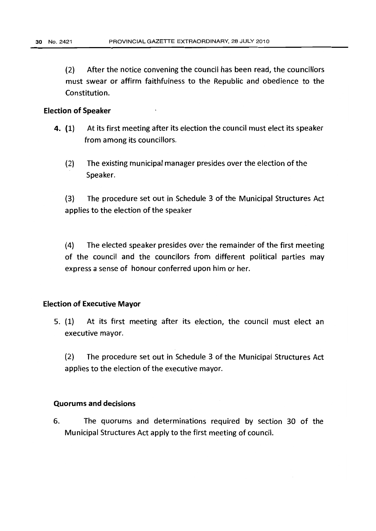(2) After the notice convening the council has been read, the councillors must swear or affirm faithfulness to the Republic and obedience to the Constitution.

#### Election of Speaker

- 4. (l) At its first meeting after its election the council must elect its speaker from among its councillors.
	- (2) The existing municipal manager presides over the election of the Speaker.

(3) The procedure set out in Schedule 3 of the Municipal Structures Act applies to the election of the speaker

(4) The elected speaker presides over the remainder of the first meeting of the council and the councilors from different political parties may express a sense of honour conferred upon him or her.

## Election of Executive Mayor

5. (1) At its first meeting after its election, the council must elect an executive mayor.

(2) The procedure set out in Schedule 3 of the Municipal Structures Act applies to the election of the executive mayor.

#### Quorums and decisions

6. The quorums and determinations required by section 30 of the Municipal Structures Act apply to the first meeting of council.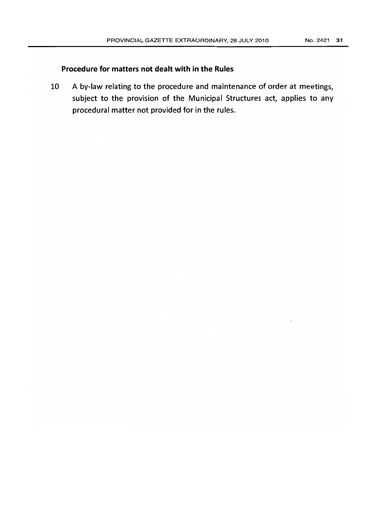# **Procedure for matters not dealt with in the Rules**

10 A by-law relating to the procedure and maintenance of order at meetings, subject to the provision of the Municipal Structures act, applies to any procedural matter not provided for in the rules.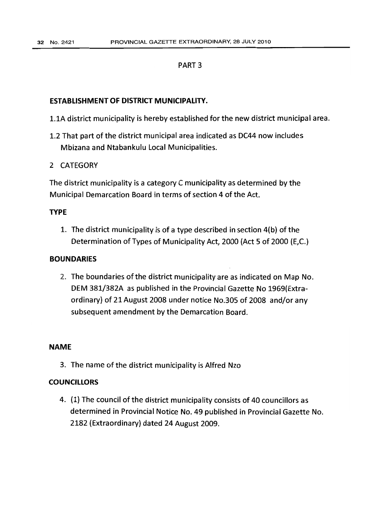#### PART 3

## **ESTABLISHMENT OF DISTRICT MUNICIPALITY.**

- 1.lA district municipality is hereby established for the new district municipal area.
- 1.2 That part of the district municipal area indicated as DC44 now includes Mbizana and Ntabankulu Local Municipalities.
- 2 CATEGORY

The district municipality is a category C municipality as determined by the Municipal Demarcation Board in terms of section 4 of the Act.

## **TYPE**

1. The district municipality is of a type described in section 4(b) of the Determination of Types of Municipality Act, 2000 (Act 5 of 2000 (E,C.)

## **BOUNDARIES**

2. The boundaries of the district municipality are as indicated on Map No. DEM 381/382A as published in the Provincial Gazette No 1969{Extraordinary) of 21 August 2008 under notice No.30S of 2008 and/or any subsequent amendment by the Demarcation Board.

#### **NAME**

3. The name of the district municipality is Alfred Nzo

## **COUNCILLORS**

4. (1) The council of the district municipality consists of 40 councillors as determined in Provincial Notice No. 49 published in Provincial Gazette No. 2182 (Extraordinary) dated 24 August 2009.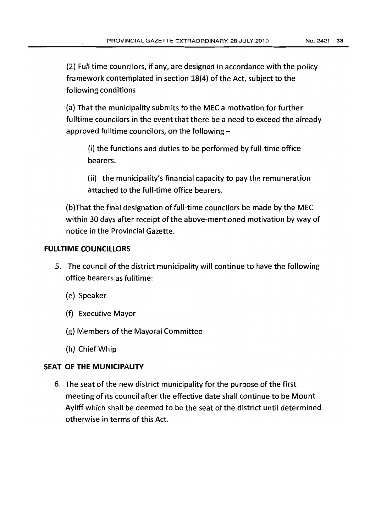(2) Full time councilors, if any, are designed in accordance with the policy framework contemplated in section 18(4) of the Act, subject to the following conditions

(a) That the municipality submits to the MEC a motivation for further fulltime councilors in the event that there be a need to exceed the already approved fulltime councilors, on the following  $-$ 

(i) the functions and duties to be performed by full-time office bearers.

(ii) the municipality's financial capacity to pay the remuneration attached to the full-time office bearers.

(b) That the final designation of full-time councilors be made by the MEC within 30 days after receipt of the above-mentioned motivation by way of notice in the Provincial Gazette.

# **FULLTIME COUNCILLORS**

- 5. The council of the district municipality will continue to have the following office bearers as fulltime:
	- (e) Speaker
	- (f) Executive Mayor
	- (g) Members of the Mayoral Committee
	- (h) Chief Whip

# SEAT OF THE MUNICIPALITY

6. The seat of the new district municipality for the purpose of the first meeting of its council after the effective date shall continue to be Mount Ayliff which shall be deemed to be the seat of the district until determined otherwise in terms of this Act.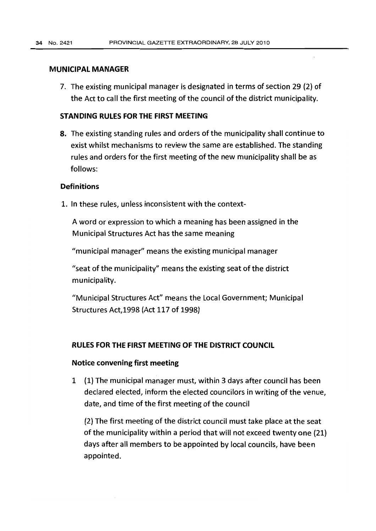#### MUNICIPAL MANAGER

7. The existing municipal manager is designated in terms of section 29 (2) of the Act to call the first meeting of the council of the district municipality.

## STANDING RULES FOR THE FIRST MEETING

8. The existing standing rules and orders of the municipality shall continue to exist whilst mechanisms to review the same are established. The standing rules and orders for the first meeting of the new municipality shall be as follows:

## **Definitions**

1. In these rules, unless inconsistent with the context-

A word or expression to which a meaning has been assigned in the Municipal Structures Act has the same meaning

"municipal manager" means the existing municipal manager

"seat of the municipality" means the existing seat of the district municipality.

"Municipal Structures Act" means the Local Government; Municipal Structures Act,1998 (Act 117 of 1998)

#### RULES FOR THE FIRST MEETING OF THE DISTRICT COUNCIL

#### Notice convening first meeting

1 (1) The municipal manager must, within 3 days after council has been declared elected, inform the elected councilors in writing of the venue, date, and time of the first meeting of the council

(2) The first meeting of the district council must take place at the seat of the municipality within a period that will not exceed twenty one (21) days after all members to be appointed by local councils, have been appointed.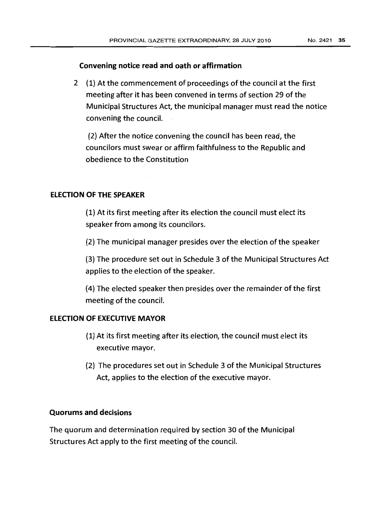## Convening notice read and oath or affirmation

2 {1} At the commencement of proceedings of the council at the first meeting after it has been convened in terms of section 29 of the Municipal Structures Act, the municipal manager must read the notice convening the council.

(2) After the notice convening the council has been read, the councilors must swear or affirm faithfulness to the Republic and obedience to the Constitution

## ELECTION OF THE SPEAKER

(l) At its first meeting after its election the council must elect its speaker from among its councilors.

(2) The municipal manager presides over the election of the speaker

(3) The procedure set out in Schedule 3 of the Municipal Structures Act applies to the election of the speaker.

(4) The elected speaker then presides over the remainder of the first meeting of the council.

# ELECTION OF EXECUTIVE MAYOR

- (1) At its first meeting after its election, the council must elect its executive mayor.
- (2) The procedures set out in Schedule 3 of the Municipal Structures Act, applies to the election of the executive mayor.

## Quorums and decisions

The quorum and determination required by section 30 of the Municipal Structures Act apply to the first meeting of the council.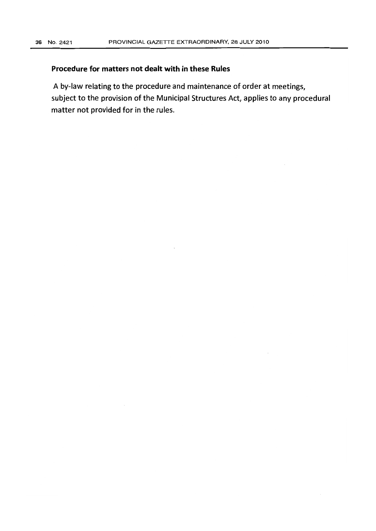# **Procedure for matters not dealt with in these Rules**

A by-law relating to the procedure and maintenance of order at meetings, subject to the provision of the Municipal Structures Act, applies to any procedural matter not provided for in the rules.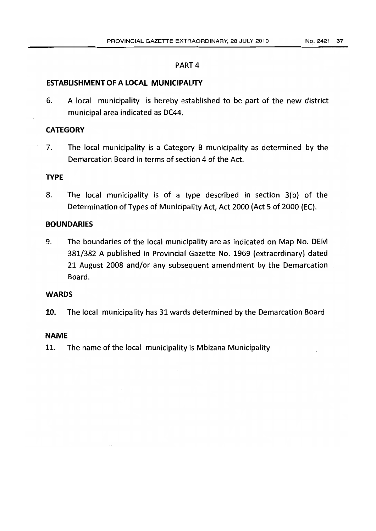#### PART 4

## ESTABLISHMENT OF A LOCAL MUNICIPALITY

6. A local municipality is hereby established to be part of the new district municipal area indicated as DC44.

# **CATEGORY**

7. The local municipality is a Category B municipality as determined by the Demarcation Board in terms of section 4 of the Act.

# **TYPE**

8. The local municipality is of a type described in section 3(b) of the Determination of Types of Municipality Act, Act 2000 (Act 5 of 2000 (EC).

## **BOUNDARIES**

9. The boundaries of the local municipality are as indicated on Map No. DEM 381/382 A published in Provincial Gazette No. 1969 (extraordinary) dated 21 August 2008 and/or any subsequent amendment by the Demarcation Board.

## WARDS

10. The local municipality has 31 wards determined by the Demarcation Board

## NAME

11. The name of the local municipality is Mbizana Municipality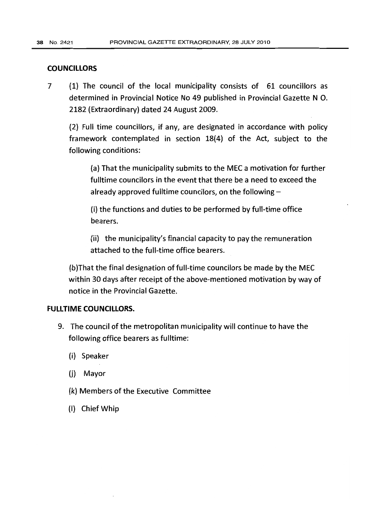# **COUNCILLORS**

7 (1) The council of the local municipality consists of 61 councillors as determined in Provincial Notice No 49 published in Provincial Gazette N O. 2182 (Extraordinary) dated 24 August 2009.

(2) Full time councillors, if any, are designated in accordance with policy framework contemplated in section 18(4) of the Act, subject to the following conditions:

(a) That the municipality submits to the MEC a motivation for further fulltime councilors in the event that there be a need to exceed the already approved fulltime councilors, on the following  $-$ 

(i) the functions and duties to be performed by full-time office bearers.

 $(i)$  the municipality's financial capacity to pay the remuneration attached to the full-time office bearers.

(b)That the final designation of full-time councilors be made by the MEC within 30 days after receipt of the above-mentioned motivation by way of notice in the Provincial Gazette.

# **FULLTIME COUNCILLORS.**

- 9. The council of the metropolitan municipality will continue to have the following office bearers as fulltime:
	- (i) Speaker
	- (j) Mayor
	- (k) Members of the Executive Committee
	- (I) Chief Whip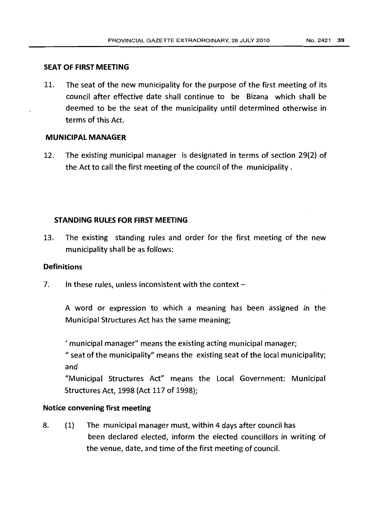# SEAT OF FIRST MEETING

11. The seat of the new municipality for the purpose of the first meeting of its council after effective date shall continue to be Bizana which shall be deemed to be the seat of the municipality until determined otherwise in terms of this Act.

# MUNICIPAL MANAGER

12. The existing municipal manager is designated in terms of section 29(2) of the Act to call the first meeting of the council of the municipality.

## STANDING RULES FOR FIRST MEETING

13. The existing standing rules and order for the first meeting of the new municipality shall be as follows:

## **Definitions**

7. In these rules, unless inconsistent with the context  $-$ 

A word or expression to which a meaning has been assigned in the Municipal Structures Act has the same meaning;

If municipal manager" means the existing acting municipal manager;

 $\degree$  seat of the municipality" means the existing seat of the local municipality; and

"Municipal Structures Act" means the Local Government: Municipal Structures Act, 1998 (Act 117 of 1998);

## Notice convening first meeting

8. (1) The municipal manager must, within 4 days after council has been declared elected, inform the elected councillors in writing of the venue, date, and time of the first meeting of council.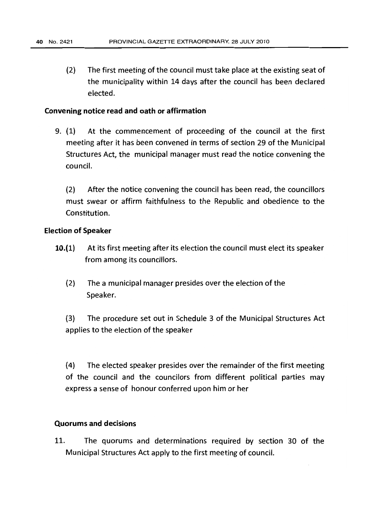(2) The first meeting of the council must take place at the existing seat of the municipality within 14 days after the council has been declared elected.

#### Convening notice read and oath or affirmation

9. (1) At the commencement of proceeding of the council at the first meeting after it has been convened in terms of section 29 of the Municipal Structures Act, the municipal manager must read the notice convening the council.

(2) After the notice convening the council has been read, the councillors must swear or affirm faithfulness to the Republic and obedience to the Constitution.

#### Election of Speaker

- 10.(1) At its first meeting after its election the council must elect its speaker from among its councillors.
	- (2) The a municipal manager presides over the election of the Speaker.

(3) The procedure set out in Schedule 3 of the Municipal Structures Act applies to the election of the speaker

(4) The elected speaker presides over the remainder of the first meeting of the council and the councilors from different political parties may express a sense of honour conferred upon him or her

#### Quorums and decisions

11. The quorums and determinations required by section 30 of the Municipal Structures Act apply to the first meeting of council.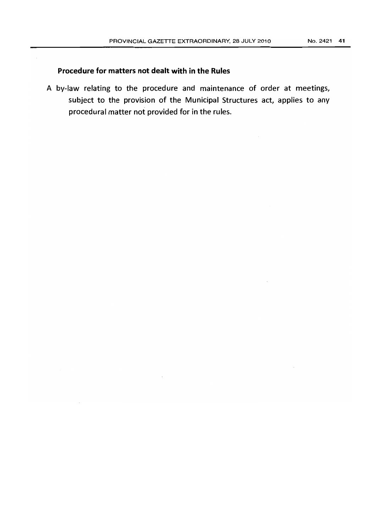## Procedure for matters not dealt with in the Rules

A by-law relating to the procedure and maintenance of order at meetings, subject to the provision of the Municipal Structures act, applies to any procedural matter not provided for in the rules.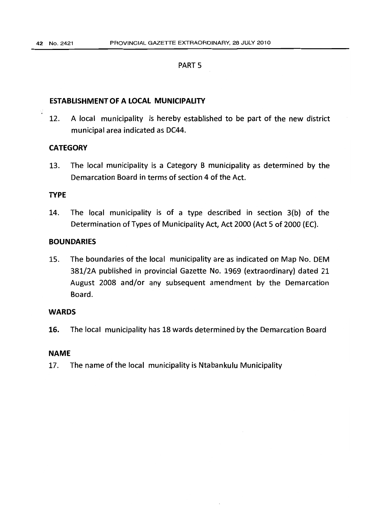#### PART<sub>5</sub>

## ESTABLISHMENT OF A LOCAL MUNICIPALITY

12. A local municipality is hereby established to be part of the new district municipal area indicated as DC44.

## **CATEGORY**

13. The local municipality is a Category B municipality as determined by the Demarcation Board in terms of section 4 of the Act.

#### TYPE

14. The local municipality is of a type described in section 3(b) of the Determination of Types of Municipality Act, Act 2000 (Act 5 of 2000 (EC).

## **BOUNDARIES**

15. The boundaries of the local municipality are as indicated on Map No. DEM 381/2A published in provincial Gazette No. 1969 (extraordinary) dated 21 August 2008 and/or any subsequent amendment by the Demarcation Board.

## WARDS

16. The local municipality has 18 wards determined by the Demarcation Board

#### NAME

17. The name of the local municipality is Ntabankulu Municipality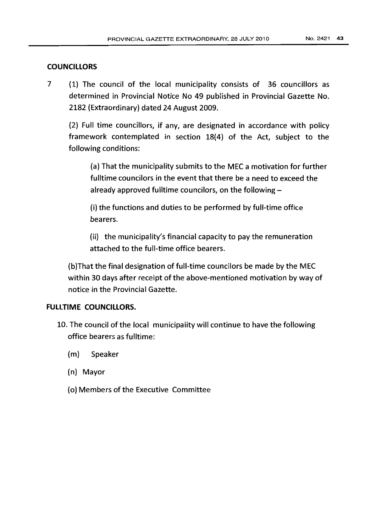# **COUNCILLORS**

7 (1) The council of the local municipality consists of 36 councillors as determined in Provincial Notice No 49 published in Provincial Gazette No. 2182 (Extraordinary) dated 24 August 2009.

(2) Full time councillors, if any, are designated in accordance with policy framework contemplated in section 18(4) of the Act, subject to the following conditions:

(a) That the municipality submits to the MEC a motivation for further fulltime councilors in the event that there be a need to exceed the already approved fulltime councilors, on the following-

(i) the functions and duties to be performed by full-time office bearers.

(ii) the municipality's financial capacity to pay the remuneration attached to the full-time office bearers.

(b)That the final designation of full-time councilors be made by the MEC within 30 days after receipt of the above-mentioned motivation by way of notice in the Provincial Gazette.

# **FULLTIME COUNCILLORS.**

- 10. The council of the local municipality will continue to have the following office bearers as fulltime:
	- (m) Speaker
	- (n) Mayor
	- (0) Members of the Executive Committee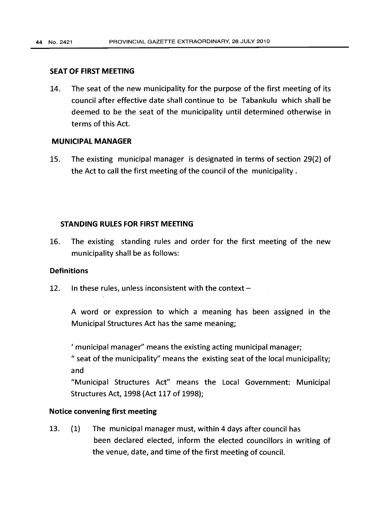#### **SEAT OF FIRST MEETING**

14. The seat of the new municipality for the purpose of the first meeting of its council after effective date shall continue to be Tabankulu which shall be deemed to be the seat of the municipality until determined otherwise in terms of this Act.

## **MUNICIPAL MANAGER**

15. The existing municipal manager is designated in terms of section 29(2) of the Act to call the first meeting of the council of the municipality.

## **STANDING RULES FOR FIRST MEETING**

16. The existing standing rules and order for the first meeting of the new municipality shall be as follows:

## **Definitions**

12. In these rules, unless inconsistent with the context  $-$ 

A word or expression to which a meaning has been assigned in the Municipal Structures Act has the same meaning;

If municipal manager" means the existing acting municipal manager;

" seat of the municipality" means the existing seat of the local municipality; and

"Municipal Structures Act" means the Local Government: Municipal Structures Act, 1998 (Act 117 of 1998);

## **Notice convening first meeting**

13. (1) The municipal manager must, within 4 days after council has been declared elected, inform the elected councillors in writing of the venue, date, and time of the first meeting of council.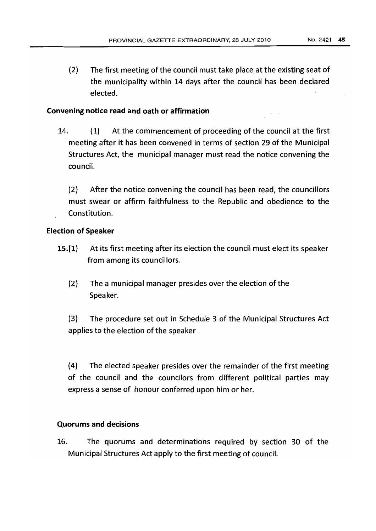(2) The first meeting of the council must take place at the existing seat of the municipality within 14 days after the council has been declared elected.

# Convening notice read and oath or affirmation

14. {1} At the commencement of proceeding of the council at the first meeting after it has been convened in terms of section 29 of the Municipal Structures Act, the municipal manager must read the notice convening the council.

(2) After the notice convening the council has been read, the councillors must swear or affirm faithfulness to the Republic and obedience to the Constitution.

# Election of Speaker

- 15.(1} At its first meeting after its election the council must elect its speaker from among its councillors.
	- (2) The a municipal manager presides over the election of the Speaker.

(3) The procedure set out in Schedule 3 of the Municipal Structures Act applies to the election of the speaker

(4) The elected speaker presides over the remainder of the first meeting of the council and the councilors from different political parties may express a sense of honour conferred upon him or her.

## Quorums and decisions

16. The quorums and determinations required by section 30 of the Municipal Structures Act apply to the first meeting of council.